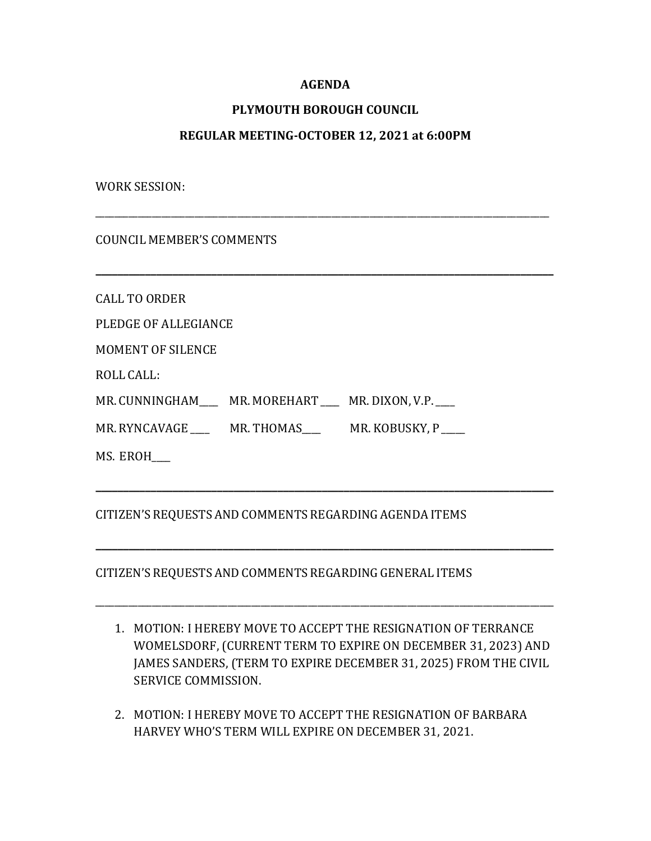# **AGENDA**

# **PLYMOUTH BOROUGH COUNCIL**

### **REGULAR MEETING-OCTOBER 12, 2021 at 6:00PM**

\_\_\_\_\_\_\_\_\_\_\_\_\_\_\_\_\_\_\_\_\_\_\_\_\_\_\_\_\_\_\_\_\_\_\_\_\_\_\_\_\_\_\_\_\_\_\_\_\_\_\_\_\_\_\_\_\_\_\_\_\_\_\_\_\_\_\_\_\_\_\_\_\_\_\_\_\_\_\_\_\_\_\_\_\_\_\_\_\_\_\_\_\_\_\_\_

**\_\_\_\_\_\_\_\_\_\_\_\_\_\_\_\_\_\_\_\_\_\_\_\_\_\_\_\_\_\_\_\_\_\_\_\_\_\_\_\_\_\_\_\_\_\_\_\_\_\_\_\_\_\_\_\_\_\_\_\_\_\_\_\_\_\_\_\_\_\_\_\_\_\_\_\_\_\_\_\_\_\_\_**

WORK SESSION:

COUNCIL MEMBER'S COMMENTS

CALL TO ORDER

PLEDGE OF ALLEGIANCE

MOMENT OF SILENCE

ROLL CALL:

MR. CUNNINGHAM\_\_\_\_\_ MR. MOREHART \_\_\_ MR. DIXON, V.P.

MR. RYNCAVAGE \_\_\_\_\_ MR. THOMAS \_\_\_\_\_ MR. KOBUSKY, P

MS. EROH\_\_\_\_

### CITIZEN'S REQUESTS AND COMMENTS REGARDING AGENDA ITEMS

### CITIZEN'S REQUESTS AND COMMENTS REGARDING GENERAL ITEMS

1. MOTION: I HEREBY MOVE TO ACCEPT THE RESIGNATION OF TERRANCE WOMELSDORF, (CURRENT TERM TO EXPIRE ON DECEMBER 31, 2023) AND JAMES SANDERS, (TERM TO EXPIRE DECEMBER 31, 2025) FROM THE CIVIL SERVICE COMMISSION.

**\_\_\_\_\_\_\_\_\_\_\_\_\_\_\_\_\_\_\_\_\_\_\_\_\_\_\_\_\_\_\_\_\_\_\_\_\_\_\_\_\_\_\_\_\_\_\_\_\_\_\_\_\_\_\_\_\_\_\_\_\_\_\_\_\_\_\_\_\_\_\_\_\_\_\_\_\_\_\_\_\_\_\_**

**\_\_\_\_\_\_\_\_\_\_\_\_\_\_\_\_\_\_\_\_\_\_\_\_\_\_\_\_\_\_\_\_\_\_\_\_\_\_\_\_\_\_\_\_\_\_\_\_\_\_\_\_\_\_\_\_\_\_\_\_\_\_\_\_\_\_\_\_\_\_\_\_\_\_\_\_\_\_\_\_\_\_\_**

\_\_\_\_\_\_\_\_\_\_\_\_\_\_\_\_\_\_\_\_\_\_\_\_\_\_\_\_\_\_\_\_\_\_\_\_\_\_\_\_\_\_\_\_\_\_\_\_\_\_\_\_\_\_\_\_\_\_\_\_\_\_\_\_\_\_\_\_\_\_\_\_\_\_\_\_\_\_\_\_\_\_\_\_\_\_\_\_\_\_\_\_\_\_\_\_\_

2. MOTION: I HEREBY MOVE TO ACCEPT THE RESIGNATION OF BARBARA HARVEY WHO'S TERM WILL EXPIRE ON DECEMBER 31, 2021.